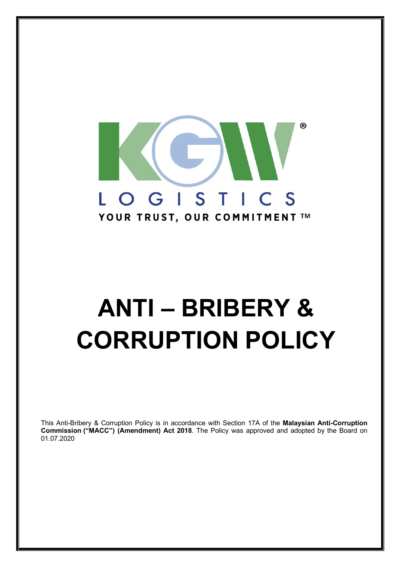

# **ANTI – BRIBERY & CORRUPTION POLICY**

This Anti-Bribery & Corruption Policy is in accordance with Section 17A of the **Malaysian Anti-Corruption Commission ("MACC") (Amendment) Act 2018**. The Policy was approved and adopted by the Board on 01.07.2020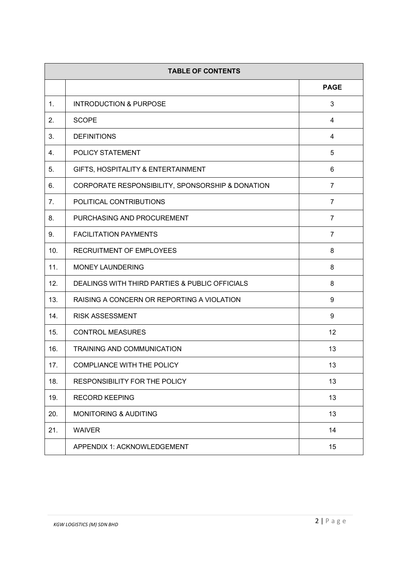| <b>TABLE OF CONTENTS</b> |                                                  |                |
|--------------------------|--------------------------------------------------|----------------|
|                          |                                                  | <b>PAGE</b>    |
| 1.                       | <b>INTRODUCTION &amp; PURPOSE</b>                | 3              |
| 2.                       | <b>SCOPE</b>                                     | 4              |
| 3.                       | <b>DEFINITIONS</b>                               | 4              |
| 4.                       | POLICY STATEMENT                                 | 5              |
| 5.                       | GIFTS, HOSPITALITY & ENTERTAINMENT               | 6              |
| 6.                       | CORPORATE RESPONSIBILITY, SPONSORSHIP & DONATION | $\overline{7}$ |
| 7.                       | POLITICAL CONTRIBUTIONS                          | $\overline{7}$ |
| 8.                       | PURCHASING AND PROCUREMENT                       | $\overline{7}$ |
| 9.                       | <b>FACILITATION PAYMENTS</b>                     | $\overline{7}$ |
| 10.                      | RECRUITMENT OF EMPLOYEES                         | 8              |
| 11.                      | <b>MONEY LAUNDERING</b>                          | 8              |
| 12.                      | DEALINGS WITH THIRD PARTIES & PUBLIC OFFICIALS   | 8              |
| 13.                      | RAISING A CONCERN OR REPORTING A VIOLATION       | 9              |
| 14.                      | <b>RISK ASSESSMENT</b>                           | 9              |
| 15.                      | <b>CONTROL MEASURES</b>                          | 12             |
| 16.                      | TRAINING AND COMMUNICATION                       | 13             |
| 17.                      | <b>COMPLIANCE WITH THE POLICY</b>                | 13             |
| 18.                      | <b>RESPONSIBILITY FOR THE POLICY</b>             | 13             |
| 19.                      | <b>RECORD KEEPING</b>                            | 13             |
| 20.                      | <b>MONITORING &amp; AUDITING</b>                 | 13             |
| 21.                      | <b>WAIVER</b>                                    | 14             |
|                          | APPENDIX 1: ACKNOWLEDGEMENT                      | 15             |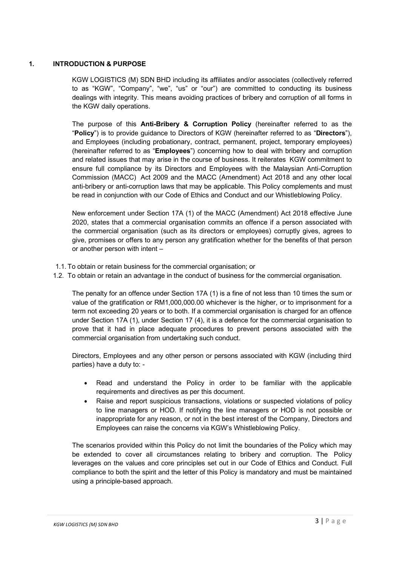# **1. INTRODUCTION & PURPOSE**

KGW LOGISTICS (M) SDN BHD including its affiliates and/or associates (collectively referred to as "KGW", "Company", "we", "us" or "our") are committed to conducting its business dealings with integrity. This means avoiding practices of bribery and corruption of all forms in the KGW daily operations.

The purpose of this **Anti-Bribery & Corruption Policy** (hereinafter referred to as the "**Policy**") is to provide guidance to Directors of KGW (hereinafter referred to as "**Directors**"), and Employees (including probationary, contract, permanent, project, temporary employees) (hereinafter referred to as "**Employees**") concerning how to deal with bribery and corruption and related issues that may arise in the course of business. It reiterates KGW commitment to ensure full compliance by its Directors and Employees with the Malaysian Anti-Corruption Commission (MACC) Act 2009 and the MACC (Amendment) Act 2018 and any other local anti-bribery or anti-corruption laws that may be applicable. This Policy complements and must be read in conjunction with our Code of Ethics and Conduct and our Whistleblowing Policy.

New enforcement under Section 17A (1) of the MACC (Amendment) Act 2018 effective June 2020, states that a commercial organisation commits an offence if a person associated with the commercial organisation (such as its directors or employees) corruptly gives, agrees to give, promises or offers to any person any gratification whether for the benefits of that person or another person with intent –

- 1.1. To obtain or retain business for the commercial organisation; or
- 1.2. To obtain or retain an advantage in the conduct of business for the commercial organisation.

The penalty for an offence under Section 17A (1) is a fine of not less than 10 times the sum or value of the gratification or RM1,000,000.00 whichever is the higher, or to imprisonment for a term not exceeding 20 years or to both. If a commercial organisation is charged for an offence under Section 17A (1), under Section 17 (4), it is a defence for the commercial organisation to prove that it had in place adequate procedures to prevent persons associated with the commercial organisation from undertaking such conduct.

Directors, Employees and any other person or persons associated with KGW (including third parties) have a duty to: -

- Read and understand the Policy in order to be familiar with the applicable requirements and directives as per this document.
- Raise and report suspicious transactions, violations or suspected violations of policy to line managers or HOD. If notifying the line managers or HOD is not possible or inappropriate for any reason, or not in the best interest of the Company, Directors and Employees can raise the concerns via KGW's Whistleblowing Policy.

The scenarios provided within this Policy do not limit the boundaries of the Policy which may be extended to cover all circumstances relating to bribery and corruption. The Policy leverages on the values and core principles set out in our Code of Ethics and Conduct. Full compliance to both the spirit and the letter of this Policy is mandatory and must be maintained using a principle-based approach.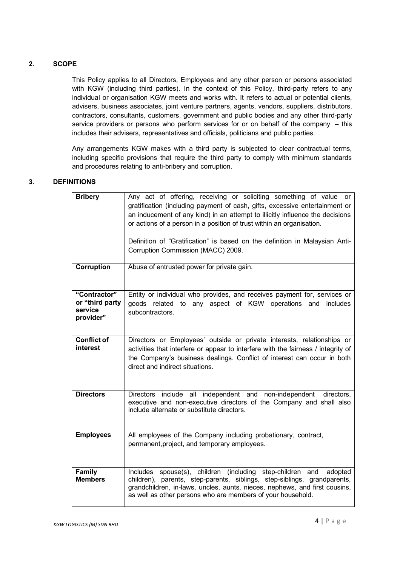# **2. SCOPE**

This Policy applies to all Directors, Employees and any other person or persons associated with KGW (including third parties). In the context of this Policy, third-party refers to any individual or organisation KGW meets and works with. It refers to actual or potential clients, advisers, business associates, joint venture partners, agents, vendors, suppliers, distributors, contractors, consultants, customers, government and public bodies and any other third-party service providers or persons who perform services for or on behalf of the company – this includes their advisers, representatives and officials, politicians and public parties.

Any arrangements KGW makes with a third party is subjected to clear contractual terms, including specific provisions that require the third party to comply with minimum standards and procedures relating to anti-bribery and corruption.

# **3. DEFINITIONS**

| <b>Bribery</b>                                          | Any act of offering, receiving or soliciting something of value or<br>gratification (including payment of cash, gifts, excessive entertainment or<br>an inducement of any kind) in an attempt to illicitly influence the decisions<br>or actions of a person in a position of trust within an organisation.<br>Definition of "Gratification" is based on the definition in Malaysian Anti-<br>Corruption Commission (MACC) 2009. |
|---------------------------------------------------------|----------------------------------------------------------------------------------------------------------------------------------------------------------------------------------------------------------------------------------------------------------------------------------------------------------------------------------------------------------------------------------------------------------------------------------|
| Corruption                                              | Abuse of entrusted power for private gain.                                                                                                                                                                                                                                                                                                                                                                                       |
| "Contractor"<br>or "third party<br>service<br>provider" | Entity or individual who provides, and receives payment for, services or<br>goods related to any aspect of KGW operations and includes<br>subcontractors.                                                                                                                                                                                                                                                                        |
| <b>Conflict of</b><br>interest                          | Directors or Employees' outside or private interests, relationships or<br>activities that interfere or appear to interfere with the fairness / integrity of<br>the Company's business dealings. Conflict of interest can occur in both<br>direct and indirect situations.                                                                                                                                                        |
| <b>Directors</b>                                        | Directors include all independent and non-independent directors,<br>executive and non-executive directors of the Company and shall also<br>include alternate or substitute directors.                                                                                                                                                                                                                                            |
| <b>Employees</b>                                        | All employees of the Company including probationary, contract,<br>permanent, project, and temporary employees.                                                                                                                                                                                                                                                                                                                   |
| <b>Family</b><br><b>Members</b>                         | Includes spouse(s), children (including step-children and<br>adopted<br>children), parents, step-parents, siblings, step-siblings, grandparents,<br>grandchildren, in-laws, uncles, aunts, nieces, nephews, and first cousins,<br>as well as other persons who are members of your household.                                                                                                                                    |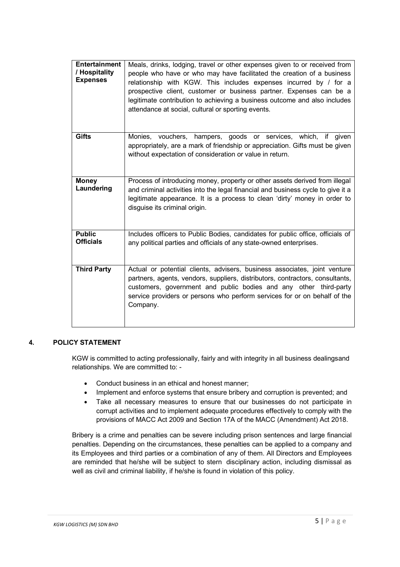| <b>Entertainment</b><br>/ Hospitality<br><b>Expenses</b> | Meals, drinks, lodging, travel or other expenses given to or received from<br>people who have or who may have facilitated the creation of a business<br>relationship with KGW. This includes expenses incurred by / for a<br>prospective client, customer or business partner. Expenses can be a<br>legitimate contribution to achieving a business outcome and also includes<br>attendance at social, cultural or sporting events. |
|----------------------------------------------------------|-------------------------------------------------------------------------------------------------------------------------------------------------------------------------------------------------------------------------------------------------------------------------------------------------------------------------------------------------------------------------------------------------------------------------------------|
| <b>Gifts</b>                                             | hampers, goods or services, which, if given<br>Monies, vouchers,<br>appropriately, are a mark of friendship or appreciation. Gifts must be given<br>without expectation of consideration or value in return.                                                                                                                                                                                                                        |
| <b>Money</b><br>Laundering                               | Process of introducing money, property or other assets derived from illegal<br>and criminal activities into the legal financial and business cycle to give it a<br>legitimate appearance. It is a process to clean 'dirty' money in order to<br>disguise its criminal origin.                                                                                                                                                       |
| <b>Public</b><br><b>Officials</b>                        | Includes officers to Public Bodies, candidates for public office, officials of<br>any political parties and officials of any state-owned enterprises.                                                                                                                                                                                                                                                                               |
| <b>Third Party</b>                                       | Actual or potential clients, advisers, business associates, joint venture<br>partners, agents, vendors, suppliers, distributors, contractors, consultants,<br>customers, government and public bodies and any other third-party<br>service providers or persons who perform services for or on behalf of the<br>Company.                                                                                                            |

# **4. POLICY STATEMENT**

KGW is committed to acting professionally, fairly and with integrity in all business dealingsand relationships. We are committed to: -

- Conduct business in an ethical and honest manner;
- Implement and enforce systems that ensure bribery and corruption is prevented; and
- Take all necessary measures to ensure that our businesses do not participate in corrupt activities and to implement adequate procedures effectively to comply with the provisions of MACC Act 2009 and Section 17A of the MACC (Amendment) Act 2018.

Bribery is a crime and penalties can be severe including prison sentences and large financial penalties. Depending on the circumstances, these penalties can be applied to a company and its Employees and third parties or a combination of any of them. All Directors and Employees are reminded that he/she will be subject to stern disciplinary action, including dismissal as well as civil and criminal liability, if he/she is found in violation of this policy.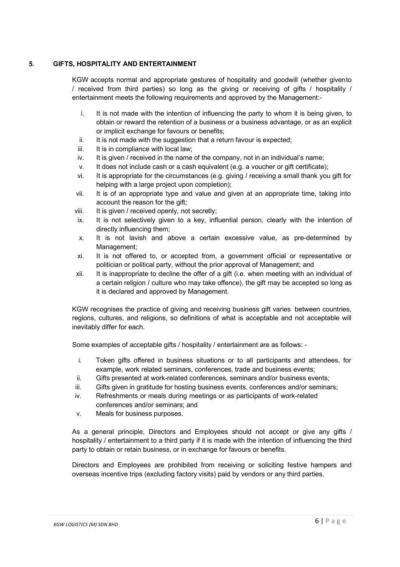# **5. GIFTS, HOSPITALITY AND ENTERTAINMENT**

KGW accepts normal and appropriate gestures of hospitality and goodwill (whether givento / received from third parties) so long as the giving or receiving of gifts / hospitality / entertainment meets the following requirements and approved by the Management:-

- i. It is not made with the intention of influencing the party to whom it is being given, to obtain or reward the retention of a business or a business advantage, or as an explicit or implicit exchange for favours or benefits;
- ii. It is not made with the suggestion that a return favour is expected;
- iii. It is in compliance with local law;
- iv. It is given / received in the name of the company, not in an individual's name;
- v. It does not include cash or a cash equivalent (e.g. a voucher or gift certificate);
- vi. It is appropriate for the circumstances (e.g. giving / receiving a small thank you gift for helping with a large project upon completion);
- vii. It is of an appropriate type and value and given at an appropriate time, taking into account the reason for the gift;
- viii. It is given / received openly, not secretly;
- ix. It is not selectively given to a key, influential person, clearly with the intention of directly influencing them;
- x. It is not lavish and above a certain excessive value, as pre-determined by Management;
- xi. It is not offered to, or accepted from, a government official or representative or politician or political party, without the prior approval of Management; and
- xii. It is inappropriate to decline the offer of a gift (i.e. when meeting with an individual of a certain religion / culture who may take offence), the gift may be accepted so long as it is declared and approved by Management.

KGW recognises the practice of giving and receiving business gift varies between countries, regions, cultures, and religions, so definitions of what is acceptable and not acceptable will inevitably differ for each.

Some examples of acceptable gifts / hospitality / entertainment are as follows: -

- i. Token gifts offered in business situations or to all participants and attendees, for example, work related seminars, conferences, trade and business events;
- ii. Gifts presented at work-related conferences, seminars and/or business events;
- iii. Gifts given in gratitude for hosting business events, conferences and/or seminars;
- iv. Refreshments or meals during meetings or as participants of work-related conferences and/or seminars; and
- v. Meals for business purposes.

As a general principle, Directors and Employees should not accept or give any gifts / hospitality / entertainment to a third party if it is made with the intention of influencing the third party to obtain or retain business, or in exchange for favours or benefits.

Directors and Employees are prohibited from receiving or soliciting festive hampers and overseas incentive trips (excluding factory visits) paid by vendors or any third parties.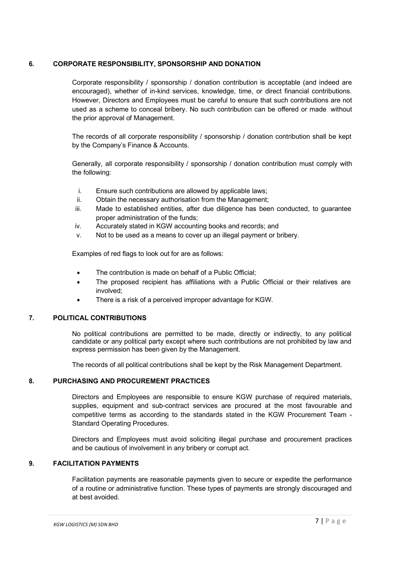# **6. CORPORATE RESPONSIBILITY, SPONSORSHIP AND DONATION**

Corporate responsibility / sponsorship / donation contribution is acceptable (and indeed are encouraged), whether of in-kind services, knowledge, time, or direct financial contributions. However, Directors and Employees must be careful to ensure that such contributions are not used as a scheme to conceal bribery. No such contribution can be offered or made without the prior approval of Management.

The records of all corporate responsibility / sponsorship / donation contribution shall be kept by the Company's Finance & Accounts.

Generally, all corporate responsibility / sponsorship / donation contribution must comply with the following:

- i. Ensure such contributions are allowed by applicable laws;
- ii. Obtain the necessary authorisation from the Management;
- iii. Made to established entities, after due diligence has been conducted, to guarantee proper administration of the funds;
- iv. Accurately stated in KGW accounting books and records; and
- v. Not to be used as a means to cover up an illegal payment or bribery.

Examples of red flags to look out for are as follows:

- The contribution is made on behalf of a Public Official:
- The proposed recipient has affiliations with a Public Official or their relatives are involved;
- There is a risk of a perceived improper advantage for KGW.

# **7. POLITICAL CONTRIBUTIONS**

No political contributions are permitted to be made, directly or indirectly, to any political candidate or any political party except where such contributions are not prohibited by law and express permission has been given by the Management.

The records of all political contributions shall be kept by the Risk Management Department.

# **8. PURCHASING AND PROCUREMENT PRACTICES**

Directors and Employees are responsible to ensure KGW purchase of required materials, supplies, equipment and sub-contract services are procured at the most favourable and competitive terms as according to the standards stated in the KGW Procurement Team - Standard Operating Procedures.

Directors and Employees must avoid soliciting illegal purchase and procurement practices and be cautious of involvement in any bribery or corrupt act.

# **9. FACILITATION PAYMENTS**

Facilitation payments are reasonable payments given to secure or expedite the performance of a routine or administrative function. These types of payments are strongly discouraged and at best avoided.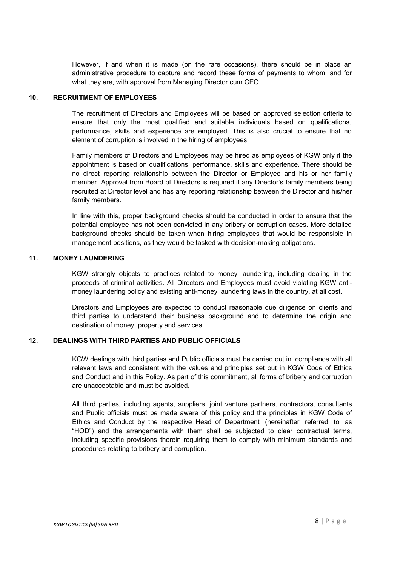However, if and when it is made (on the rare occasions), there should be in place an administrative procedure to capture and record these forms of payments to whom and for what they are, with approval from Managing Director cum CEO.

### **10. RECRUITMENT OF EMPLOYEES**

The recruitment of Directors and Employees will be based on approved selection criteria to ensure that only the most qualified and suitable individuals based on qualifications, performance, skills and experience are employed. This is also crucial to ensure that no element of corruption is involved in the hiring of employees.

Family members of Directors and Employees may be hired as employees of KGW only if the appointment is based on qualifications, performance, skills and experience. There should be no direct reporting relationship between the Director or Employee and his or her family member. Approval from Board of Directors is required if any Director's family members being recruited at Director level and has any reporting relationship between the Director and his/her family members.

In line with this, proper background checks should be conducted in order to ensure that the potential employee has not been convicted in any bribery or corruption cases. More detailed background checks should be taken when hiring employees that would be responsible in management positions, as they would be tasked with decision-making obligations.

# **11. MONEY LAUNDERING**

KGW strongly objects to practices related to money laundering, including dealing in the proceeds of criminal activities. All Directors and Employees must avoid violating KGW antimoney laundering policy and existing anti-money laundering laws in the country, at all cost.

Directors and Employees are expected to conduct reasonable due diligence on clients and third parties to understand their business background and to determine the origin and destination of money, property and services.

# **12. DEALINGS WITH THIRD PARTIES AND PUBLIC OFFICIALS**

KGW dealings with third parties and Public officials must be carried out in compliance with all relevant laws and consistent with the values and principles set out in KGW Code of Ethics and Conduct and in this Policy. As part of this commitment, all forms of bribery and corruption are unacceptable and must be avoided.

All third parties, including agents, suppliers, joint venture partners, contractors, consultants and Public officials must be made aware of this policy and the principles in KGW Code of Ethics and Conduct by the respective Head of Department (hereinafter referred to as "HOD") and the arrangements with them shall be subjected to clear contractual terms, including specific provisions therein requiring them to comply with minimum standards and procedures relating to bribery and corruption.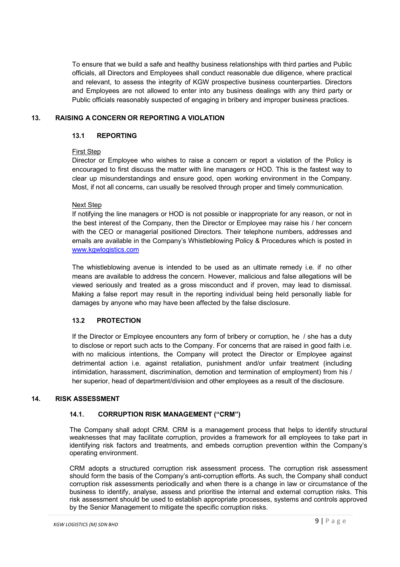To ensure that we build a safe and healthy business relationships with third parties and Public officials, all Directors and Employees shall conduct reasonable due diligence, where practical and relevant, to assess the integrity of KGW prospective business counterparties. Directors and Employees are not allowed to enter into any business dealings with any third party or Public officials reasonably suspected of engaging in bribery and improper business practices.

# **13. RAISING A CONCERN OR REPORTING A VIOLATION**

### **13.1 REPORTING**

#### First Step

Director or Employee who wishes to raise a concern or report a violation of the Policy is encouraged to first discuss the matter with line managers or HOD. This is the fastest way to clear up misunderstandings and ensure good, open working environment in the Company. Most, if not all concerns, can usually be resolved through proper and timely communication.

#### Next Step

If notifying the line managers or HOD is not possible or inappropriate for any reason, or not in the best interest of the Company, then the Director or Employee may raise his / her concern with the CEO or managerial positioned Directors. Their telephone numbers, addresses and emails are available in the Company's Whistleblowing Policy & Procedures which is posted in www.kgwlogistics.com

The whistleblowing avenue is intended to be used as an ultimate remedy i.e. if no other means are available to address the concern. However, malicious and false allegations will be viewed seriously and treated as a gross misconduct and if proven, may lead to dismissal. Making a false report may result in the reporting individual being held personally liable for damages by anyone who may have been affected by the false disclosure.

# **13.2 PROTECTION**

If the Director or Employee encounters any form of bribery or corruption, he / she has a duty to disclose or report such acts to the Company. For concerns that are raised in good faith i.e. with no malicious intentions, the Company will protect the Director or Employee against detrimental action i.e. against retaliation, punishment and/or unfair treatment (including intimidation, harassment, discrimination, demotion and termination of employment) from his / her superior, head of department/division and other employees as a result of the disclosure.

# **14. RISK ASSESSMENT**

# **14.1. CORRUPTION RISK MANAGEMENT ("CRM")**

The Company shall adopt CRM. CRM is a management process that helps to identify structural weaknesses that may facilitate corruption, provides a framework for all employees to take part in identifying risk factors and treatments, and embeds corruption prevention within the Company's operating environment.

CRM adopts a structured corruption risk assessment process. The corruption risk assessment should form the basis of the Company's anti-corruption efforts. As such, the Company shall conduct corruption risk assessments periodically and when there is a change in law or circumstance of the business to identify, analyse, assess and prioritise the internal and external corruption risks. This risk assessment should be used to establish appropriate processes, systems and controls approved by the Senior Management to mitigate the specific corruption risks.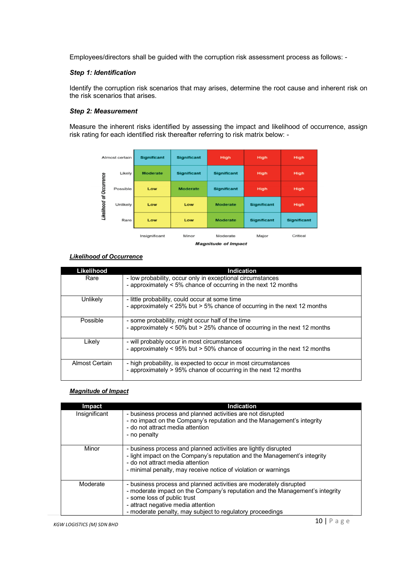Employees/directors shall be guided with the corruption risk assessment process as follows: -

#### *Step 1: Identification*

Identify the corruption risk scenarios that may arises, determine the root cause and inherent risk on the risk scenarios that arises.

#### *Step 2: Measurement*

Measure the inherent risks identified by assessing the impact and likelihood of occurrence, assign risk rating for each identified risk thereafter referring to risk matrix below: -



#### *Likelihood of Occurrence*

| Likelihood     | Indication                                                                |
|----------------|---------------------------------------------------------------------------|
| Rare           | - low probability, occur only in exceptional circumstances                |
|                | - approximately < 5% chance of occurring in the next 12 months            |
| Unlikely       | - little probability, could occur at some time                            |
|                | - approximately < 25% but > 5% chance of occurring in the next 12 months  |
| Possible       | - some probability, might occur half of the time                          |
|                | - approximately < 50% but > 25% chance of occurring in the next 12 months |
| Likelv         | - will probably occur in most circumstances                               |
|                | - approximately < 95% but > 50% chance of occurring in the next 12 months |
| Almost Certain | - high probability, is expected to occur in most circumstances            |
|                | - approximately > 95% chance of occurring in the next 12 months           |

# *Magnitude of Impact*

| <b>Impact</b> | Indication                                                                                                                                                                                                                                                                           |
|---------------|--------------------------------------------------------------------------------------------------------------------------------------------------------------------------------------------------------------------------------------------------------------------------------------|
| Insignificant | - business process and planned activities are not disrupted<br>- no impact on the Company's reputation and the Management's integrity<br>- do not attract media attention<br>- no penalty                                                                                            |
| Minor         | - business process and planned activities are lightly disrupted<br>- light impact on the Company's reputation and the Management's integrity<br>- do not attract media attention<br>- minimal penalty, may receive notice of violation or warnings                                   |
| Moderate      | - business process and planned activities are moderately disrupted<br>- moderate impact on the Company's reputation and the Management's integrity<br>- some loss of public trust<br>- attract negative media attention<br>- moderate penalty, may subject to regulatory proceedings |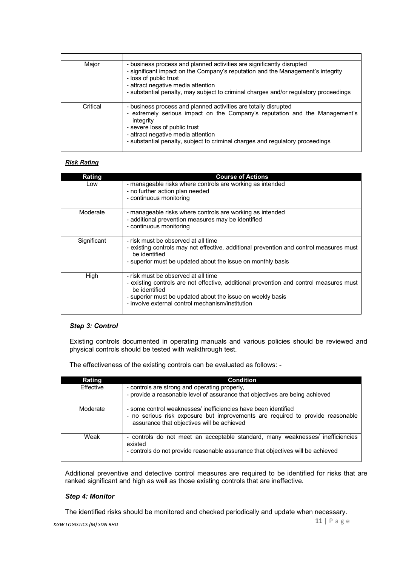| Major    | - business process and planned activities are significantly disrupted<br>- significant impact on the Company's reputation and the Management's integrity<br>- loss of public trust<br>- attract negative media attention<br>- substantial penalty, may subject to criminal charges and/or regulatory proceedings    |
|----------|---------------------------------------------------------------------------------------------------------------------------------------------------------------------------------------------------------------------------------------------------------------------------------------------------------------------|
| Critical | - business process and planned activities are totally disrupted<br>- extremely serious impact on the Company's reputation and the Management's<br>integrity<br>- severe loss of public trust<br>- attract negative media attention<br>- substantial penalty, subject to criminal charges and regulatory proceedings |

# *Risk Rating*

| Rating      | <b>Course of Actions</b>                                                                                                                                                                                                                                         |
|-------------|------------------------------------------------------------------------------------------------------------------------------------------------------------------------------------------------------------------------------------------------------------------|
| Low         | - manageable risks where controls are working as intended<br>- no further action plan needed<br>- continuous monitoring                                                                                                                                          |
| Moderate    | - manageable risks where controls are working as intended<br>- additional prevention measures may be identified<br>- continuous monitoring                                                                                                                       |
| Significant | - risk must be observed at all time<br>- existing controls may not effective, additional prevention and control measures must<br>be identified<br>- superior must be updated about the issue on monthly basis                                                    |
| High        | - risk must be observed at all time<br>- existing controls are not effective, additional prevention and control measures must<br>be identified<br>- superior must be updated about the issue on weekly basis<br>- involve external control mechanism/institution |

# *Step 3: Control*

Existing controls documented in operating manuals and various policies should be reviewed and physical controls should be tested with walkthrough test.

The effectiveness of the existing controls can be evaluated as follows: -

| <b>Rating</b> | <b>Condition</b>                                                                                                                                                                               |
|---------------|------------------------------------------------------------------------------------------------------------------------------------------------------------------------------------------------|
| Effective     | - controls are strong and operating properly.<br>- provide a reasonable level of assurance that objectives are being achieved                                                                  |
| Moderate      | - some control weaknesses/ inefficiencies have been identified<br>- no serious risk exposure but improvements are required to provide reasonable<br>assurance that objectives will be achieved |
| Weak          | - controls do not meet an acceptable standard, many weaknesses/ inefficiencies<br>existed<br>- controls do not provide reasonable assurance that objectives will be achieved                   |

Additional preventive and detective control measures are required to be identified for risks that are ranked significant and high as well as those existing controls that are ineffective.

# *Step 4: Monitor*

The identified risks should be monitored and checked periodically and update when necessary.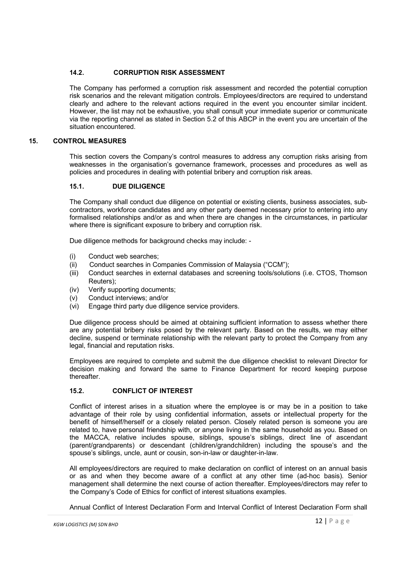# **14.2. CORRUPTION RISK ASSESSMENT**

The Company has performed a corruption risk assessment and recorded the potential corruption risk scenarios and the relevant mitigation controls. Employees/directors are required to understand clearly and adhere to the relevant actions required in the event you encounter similar incident. However, the list may not be exhaustive, you shall consult your immediate superior or communicate via the reporting channel as stated in Section 5.2 of this ABCP in the event you are uncertain of the situation encountered.

# **15. CONTROL MEASURES**

This section covers the Company's control measures to address any corruption risks arising from weaknesses in the organisation's governance framework, processes and procedures as well as policies and procedures in dealing with potential bribery and corruption risk areas.

# **15.1. DUE DILIGENCE**

The Company shall conduct due diligence on potential or existing clients, business associates, subcontractors, workforce candidates and any other party deemed necessary prior to entering into any formalised relationships and/or as and when there are changes in the circumstances, in particular where there is significant exposure to bribery and corruption risk.

Due diligence methods for background checks may include: -

- (i) Conduct web searches;
- (ii) Conduct searches in Companies Commission of Malaysia ("CCM");
- (iii) Conduct searches in external databases and screening tools/solutions (i.e. CTOS, Thomson Reuters);
- (iv) Verify supporting documents;
- (v) Conduct interviews; and/or
- (vi) Engage third party due diligence service providers.

Due diligence process should be aimed at obtaining sufficient information to assess whether there are any potential bribery risks posed by the relevant party. Based on the results, we may either decline, suspend or terminate relationship with the relevant party to protect the Company from any legal, financial and reputation risks.

Employees are required to complete and submit the due diligence checklist to relevant Director for decision making and forward the same to Finance Department for record keeping purpose thereafter.

# **15.2. CONFLICT OF INTEREST**

Conflict of interest arises in a situation where the employee is or may be in a position to take advantage of their role by using confidential information, assets or intellectual property for the benefit of himself/herself or a closely related person. Closely related person is someone you are related to, have personal friendship with, or anyone living in the same household as you. Based on the MACCA, relative includes spouse, siblings, spouse's siblings, direct line of ascendant (parent/grandparents) or descendant (children/grandchildren) including the spouse's and the spouse's siblings, uncle, aunt or cousin, son-in-law or daughter-in-law.

All employees/directors are required to make declaration on conflict of interest on an annual basis or as and when they become aware of a conflict at any other time (ad-hoc basis). Senior management shall determine the next course of action thereafter. Employees/directors may refer to the Company's Code of Ethics for conflict of interest situations examples.

Annual Conflict of Interest Declaration Form and Interval Conflict of Interest Declaration Form shall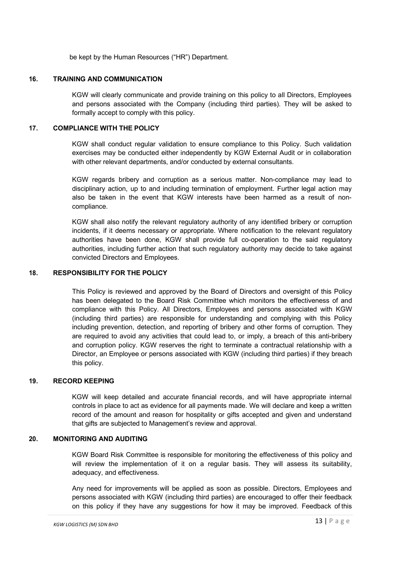be kept by the Human Resources ("HR") Department.

### **16. TRAINING AND COMMUNICATION**

KGW will clearly communicate and provide training on this policy to all Directors, Employees and persons associated with the Company (including third parties). They will be asked to formally accept to comply with this policy.

### **17. COMPLIANCE WITH THE POLICY**

KGW shall conduct regular validation to ensure compliance to this Policy. Such validation exercises may be conducted either independently by KGW External Audit or in collaboration with other relevant departments, and/or conducted by external consultants.

KGW regards bribery and corruption as a serious matter. Non-compliance may lead to disciplinary action, up to and including termination of employment. Further legal action may also be taken in the event that KGW interests have been harmed as a result of noncompliance.

KGW shall also notify the relevant regulatory authority of any identified bribery or corruption incidents, if it deems necessary or appropriate. Where notification to the relevant regulatory authorities have been done, KGW shall provide full co-operation to the said regulatory authorities, including further action that such regulatory authority may decide to take against convicted Directors and Employees.

# **18. RESPONSIBILITY FOR THE POLICY**

This Policy is reviewed and approved by the Board of Directors and oversight of this Policy has been delegated to the Board Risk Committee which monitors the effectiveness of and compliance with this Policy. All Directors, Employees and persons associated with KGW (including third parties) are responsible for understanding and complying with this Policy including prevention, detection, and reporting of bribery and other forms of corruption. They are required to avoid any activities that could lead to, or imply, a breach of this anti-bribery and corruption policy. KGW reserves the right to terminate a contractual relationship with a Director, an Employee or persons associated with KGW (including third parties) if they breach this policy.

# **19. RECORD KEEPING**

KGW will keep detailed and accurate financial records, and will have appropriate internal controls in place to act as evidence for all payments made. We will declare and keep a written record of the amount and reason for hospitality or gifts accepted and given and understand that gifts are subjected to Management's review and approval.

# **20. MONITORING AND AUDITING**

KGW Board Risk Committee is responsible for monitoring the effectiveness of this policy and will review the implementation of it on a regular basis. They will assess its suitability, adequacy, and effectiveness.

Any need for improvements will be applied as soon as possible. Directors, Employees and persons associated with KGW (including third parties) are encouraged to offer their feedback on this policy if they have any suggestions for how it may be improved. Feedback of this